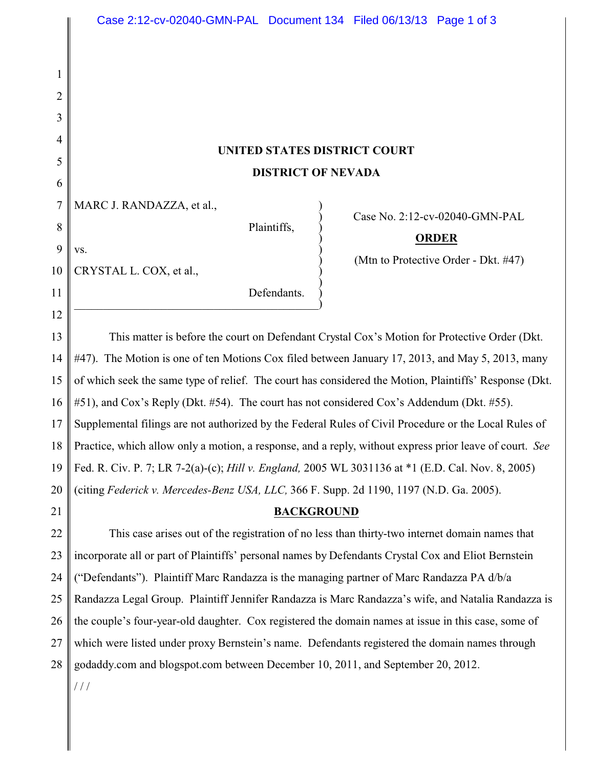## **UNITED STATES DISTRICT COURT DISTRICT OF NEVADA**

 $\big)$ 

MARC J. RANDAZZA, et al.,

 $\mathbf{v}\mathbf{s}$ .

Plaintiffs, )

) Case No. 2:12-cv-02040-GMN-PAL

## ) **ORDER**

) (Mtn to Protective Order - Dkt. #47)

10 CRYSTAL L. COX, et al., )

1

2

3

4

5

6

7

8

9

11

12

21

Defendants.  $\hspace{.5cm}$   $\hspace{.5cm}$   $\hspace{.5cm}$   $\hspace{.5cm}$   $\hspace{.5cm}$   $\hspace{.5cm}$   $\hspace{.5cm}$   $\hspace{.5cm}$   $\hspace{.5cm}$   $\hspace{.5cm}$   $\hspace{.5cm}$   $\hspace{.5cm}$   $\hspace{.5cm}$   $\hspace{.5cm}$   $\hspace{.5cm}$   $\hspace{.5cm}$   $\hspace{.5cm}$   $\hspace{.5cm}$   $\hspace{.5cm}$   $\hspace{.5cm}$ 

13 14 15 16 17 18 19 20 This matter is before the court on Defendant Crystal Cox's Motion for Protective Order (Dkt. #47). The Motion is one of ten Motions Cox filed between January 17, 2013, and May 5, 2013, many of which seek the same type of relief. The court has considered the Motion, Plaintiffs' Response (Dkt. #51), and Cox's Reply (Dkt. #54). The court has not considered Cox's Addendum (Dkt. #55). Supplemental filings are not authorized by the Federal Rules of Civil Procedure or the Local Rules of Practice, which allow only a motion, a response, and a reply, without express prior leave of court. *See* Fed. R. Civ. P. 7; LR 7-2(a)-(c); *Hill v. England,* 2005 WL 3031136 at \*1 (E.D. Cal. Nov. 8, 2005) (citing *Federick v. Mercedes-Benz USA, LLC,* 366 F. Supp. 2d 1190, 1197 (N.D. Ga. 2005).

**BACKGROUND**

22 23 24 25 26 27 28 This case arises out of the registration of no less than thirty-two internet domain names that incorporate all or part of Plaintiffs' personal names by Defendants Crystal Cox and Eliot Bernstein ("Defendants"). Plaintiff Marc Randazza is the managing partner of Marc Randazza PA d/b/a Randazza Legal Group. Plaintiff Jennifer Randazza is Marc Randazza's wife, and Natalia Randazza is the couple's four-year-old daughter. Cox registered the domain names at issue in this case, some of which were listed under proxy Bernstein's name. Defendants registered the domain names through godaddy.com and blogspot.com between December 10, 2011, and September 20, 2012.

 $/ /$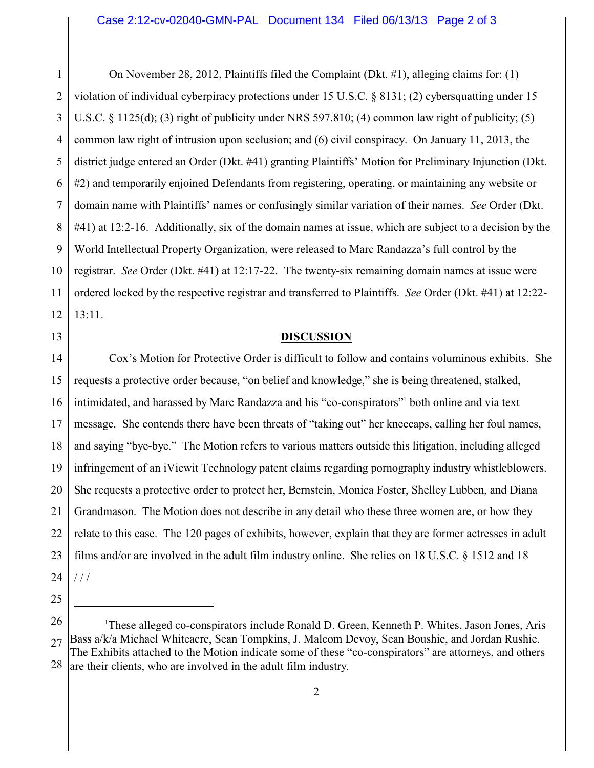1 2 3 4 5 6 7 8 9 10 11 12 On November 28, 2012, Plaintiffs filed the Complaint (Dkt. #1), alleging claims for: (1) violation of individual cyberpiracy protections under 15 U.S.C. § 8131; (2) cybersquatting under 15 U.S.C. § 1125(d); (3) right of publicity under NRS 597.810; (4) common law right of publicity; (5) common law right of intrusion upon seclusion; and (6) civil conspiracy. On January 11, 2013, the district judge entered an Order (Dkt. #41) granting Plaintiffs' Motion for Preliminary Injunction (Dkt. #2) and temporarily enjoined Defendants from registering, operating, or maintaining any website or domain name with Plaintiffs' names or confusingly similar variation of their names. *See* Order (Dkt. #41) at 12:2-16. Additionally, six of the domain names at issue, which are subject to a decision by the World Intellectual Property Organization, were released to Marc Randazza's full control by the registrar. *See* Order (Dkt. #41) at 12:17-22. The twenty-six remaining domain names at issue were ordered locked by the respective registrar and transferred to Plaintiffs. *See* Order (Dkt. #41) at 12:22- 13:11.

13

## **DISCUSSION**

14 15 16 17 18 19 20 21 22 23 24 Cox's Motion for Protective Order is difficult to follow and contains voluminous exhibits. She requests a protective order because, "on belief and knowledge," she is being threatened, stalked, intimidated, and harassed by Marc Randazza and his "co-conspirators"<sup>1</sup> both online and via text message. She contends there have been threats of "taking out" her kneecaps, calling her foul names, and saying "bye-bye." The Motion refers to various matters outside this litigation, including alleged infringement of an iViewit Technology patent claims regarding pornography industry whistleblowers. She requests a protective order to protect her, Bernstein, Monica Foster, Shelley Lubben, and Diana Grandmason. The Motion does not describe in any detail who these three women are, or how they relate to this case. The 120 pages of exhibits, however, explain that they are former actresses in adult films and/or are involved in the adult film industry online. She relies on 18 U.S.C. § 1512 and 18  $1/1$ 

25

<sup>26</sup> 27 28 <sup>1</sup>These alleged co-conspirators include Ronald D. Green, Kenneth P. Whites, Jason Jones, Aris Bass a/k/a Michael Whiteacre, Sean Tompkins, J. Malcom Devoy, Sean Boushie, and Jordan Rushie. The Exhibits attached to the Motion indicate some of these "co-conspirators" are attorneys, and others are their clients, who are involved in the adult film industry.